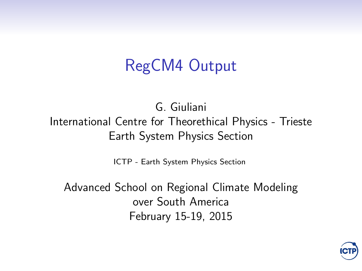#### RegCM4 Output

G. Giuliani International Centre for Theorethical Physics - Trieste Earth System Physics Section

[ICTP - Earth System Physics Section](http://www.ictp.it)

Advanced School on Regional Climate Modeling over South America February 15-19, 2015

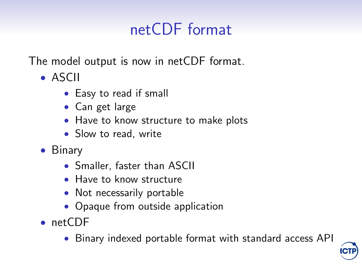# netCDF format

The model output is now in netCDF format.

- ASCII
	- Easy to read if small
	- Can get large
	- Have to know structure to make plots
	- Slow to read, write
- Binary
	- Smaller, faster than ASCII
	- Have to know structure
	- Not necessarily portable
	- Opaque from outside application
- netCDF
	- Binary indexed portable format with standard access API

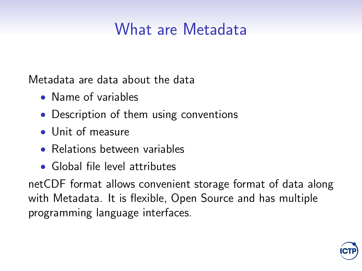#### What are Metadata

Metadata are data about the data

- Name of variables
- Description of them using conventions
- Unit of measure
- Relations between variables
- Global file level attributes

netCDF format allows convenient storage format of data along with Metadata. It is flexible, Open Source and has multiple programming language interfaces.

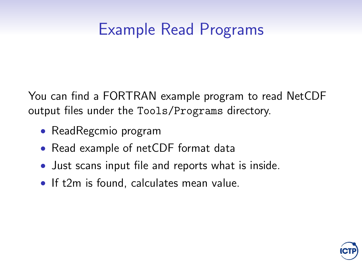## Example Read Programs

You can find a FORTRAN example program to read NetCDF output files under the Tools/Programs directory.

- ReadRegcmio program
- Read example of netCDF format data
- Just scans input file and reports what is inside.
- If t2m is found, calculates mean value.

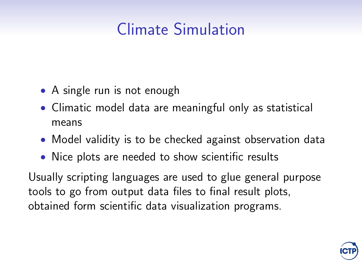# Climate Simulation

- A single run is not enough
- Climatic model data are meaningful only as statistical means
- Model validity is to be checked against observation data
- Nice plots are needed to show scientific results

Usually scripting languages are used to glue general purpose tools to go from output data files to final result plots, obtained form scientific data visualization programs.

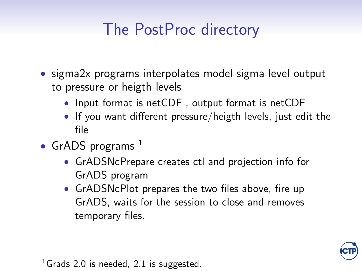## The PostProc directory

- sigma2x programs interpolates model sigma level output to pressure or heigth levels
	- Input format is netCDF, output format is netCDF
	- If you want different pressure/heigth levels, just edit the file
- GrADS programs  $<sup>1</sup>$ </sup>
	- GrADSNcPrepare creates ctl and projection info for [GrADS program](http://grads.iges.org)
	- GrADSNcPlot prepares the two files above, fire up GrADS, waits for the session to close and removes temporary files.



<sup>&</sup>lt;sup>1</sup>Grads 2.0 is needed, 2.1 is suggested.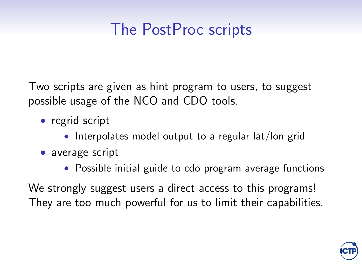## The PostProc scripts

Two scripts are given as hint program to users, to suggest possible usage of the [NCO](http://nco.sourceforge.net/nco.html) and [CDO](https://code.zmaw.de/projects/cdo) tools.

- regrid script
	- Interpolates model output to a regular lat/lon grid
- average script
	- Possible initial guide to cdo program average functions

We strongly suggest users a direct access to this programs! They are too much powerful for us to limit their capabilities.